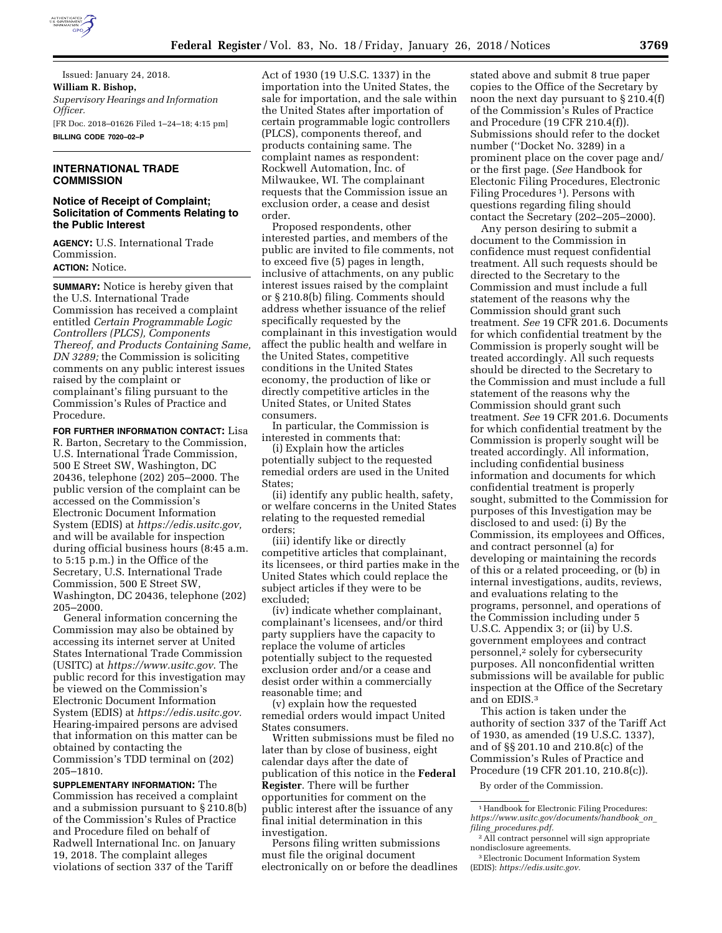

Issued: January 24, 2018. **William R. Bishop,**  *Supervisory Hearings and Information Officer.*  [FR Doc. 2018–01626 Filed 1–24–18; 4:15 pm] **BILLING CODE 7020–02–P** 

## **INTERNATIONAL TRADE COMMISSION**

## **Notice of Receipt of Complaint; Solicitation of Comments Relating to the Public Interest**

**AGENCY:** U.S. International Trade Commission.

**ACTION:** Notice.

**SUMMARY:** Notice is hereby given that the U.S. International Trade Commission has received a complaint entitled *Certain Programmable Logic Controllers (PLCS), Components Thereof, and Products Containing Same, DN 3289;* the Commission is soliciting comments on any public interest issues raised by the complaint or complainant's filing pursuant to the Commission's Rules of Practice and Procedure.

**FOR FURTHER INFORMATION CONTACT:** Lisa R. Barton, Secretary to the Commission, U.S. International Trade Commission, 500 E Street SW, Washington, DC 20436, telephone (202) 205–2000. The public version of the complaint can be accessed on the Commission's Electronic Document Information System (EDIS) at *[https://edis.usitc.gov,](https://edis.usitc.gov)*  and will be available for inspection during official business hours (8:45 a.m. to 5:15 p.m.) in the Office of the Secretary, U.S. International Trade Commission, 500 E Street SW, Washington, DC 20436, telephone (202) 205–2000.

General information concerning the Commission may also be obtained by accessing its internet server at United States International Trade Commission (USITC) at *<https://www.usitc.gov>*. The public record for this investigation may be viewed on the Commission's Electronic Document Information System (EDIS) at *[https://edis.usitc.gov.](https://edis.usitc.gov)*  Hearing-impaired persons are advised that information on this matter can be obtained by contacting the Commission's TDD terminal on (202) 205–1810.

**SUPPLEMENTARY INFORMATION:** The Commission has received a complaint and a submission pursuant to  $\S$  210.8(b) of the Commission's Rules of Practice and Procedure filed on behalf of Radwell International Inc. on January 19, 2018. The complaint alleges violations of section 337 of the Tariff

Act of 1930 (19 U.S.C. 1337) in the importation into the United States, the sale for importation, and the sale within the United States after importation of certain programmable logic controllers (PLCS), components thereof, and products containing same. The complaint names as respondent: Rockwell Automation, Inc. of Milwaukee, WI. The complainant requests that the Commission issue an exclusion order, a cease and desist order.

Proposed respondents, other interested parties, and members of the public are invited to file comments, not to exceed five (5) pages in length, inclusive of attachments, on any public interest issues raised by the complaint or § 210.8(b) filing. Comments should address whether issuance of the relief specifically requested by the complainant in this investigation would affect the public health and welfare in the United States, competitive conditions in the United States economy, the production of like or directly competitive articles in the United States, or United States consumers.

In particular, the Commission is interested in comments that:

(i) Explain how the articles potentially subject to the requested remedial orders are used in the United States;

(ii) identify any public health, safety, or welfare concerns in the United States relating to the requested remedial orders;

(iii) identify like or directly competitive articles that complainant, its licensees, or third parties make in the United States which could replace the subject articles if they were to be excluded;

(iv) indicate whether complainant, complainant's licensees, and/or third party suppliers have the capacity to replace the volume of articles potentially subject to the requested exclusion order and/or a cease and desist order within a commercially reasonable time; and

(v) explain how the requested remedial orders would impact United States consumers.

Written submissions must be filed no later than by close of business, eight calendar days after the date of publication of this notice in the **Federal Register**. There will be further opportunities for comment on the public interest after the issuance of any final initial determination in this investigation.

Persons filing written submissions must file the original document electronically on or before the deadlines stated above and submit 8 true paper copies to the Office of the Secretary by noon the next day pursuant to § 210.4(f) of the Commission's Rules of Practice and Procedure (19 CFR 210.4(f)). Submissions should refer to the docket number (''Docket No. 3289) in a prominent place on the cover page and/ or the first page. (*See* Handbook for Electonic Filing Procedures, Electronic Filing Procedures 1). Persons with questions regarding filing should contact the Secretary (202–205–2000).

Any person desiring to submit a document to the Commission in confidence must request confidential treatment. All such requests should be directed to the Secretary to the Commission and must include a full statement of the reasons why the Commission should grant such treatment. *See* 19 CFR 201.6. Documents for which confidential treatment by the Commission is properly sought will be treated accordingly. All such requests should be directed to the Secretary to the Commission and must include a full statement of the reasons why the Commission should grant such treatment. *See* 19 CFR 201.6. Documents for which confidential treatment by the Commission is properly sought will be treated accordingly. All information, including confidential business information and documents for which confidential treatment is properly sought, submitted to the Commission for purposes of this Investigation may be disclosed to and used: (i) By the Commission, its employees and Offices, and contract personnel (a) for developing or maintaining the records of this or a related proceeding, or (b) in internal investigations, audits, reviews, and evaluations relating to the programs, personnel, and operations of the Commission including under 5 U.S.C. Appendix 3; or (ii) by U.S. government employees and contract personnel,2 solely for cybersecurity purposes. All nonconfidential written submissions will be available for public inspection at the Office of the Secretary and on EDIS.3

This action is taken under the authority of section 337 of the Tariff Act of 1930, as amended (19 U.S.C. 1337), and of §§ 201.10 and 210.8(c) of the Commission's Rules of Practice and Procedure (19 CFR 201.10, 210.8(c)).

By order of the Commission.

<sup>&</sup>lt;sup>1</sup> Handbook for Electronic Filing Procedures: *[https://www.usitc.gov/documents/handbook](https://www.usitc.gov/documents/handbook_on_filing_procedures.pdf)*\_*on*\_ *filing*\_*[procedures.pdf.](https://www.usitc.gov/documents/handbook_on_filing_procedures.pdf)* 

<sup>2</sup>All contract personnel will sign appropriate nondisclosure agreements.

<sup>3</sup>Electronic Document Information System (EDIS): *[https://edis.usitc.gov.](https://edis.usitc.gov)*